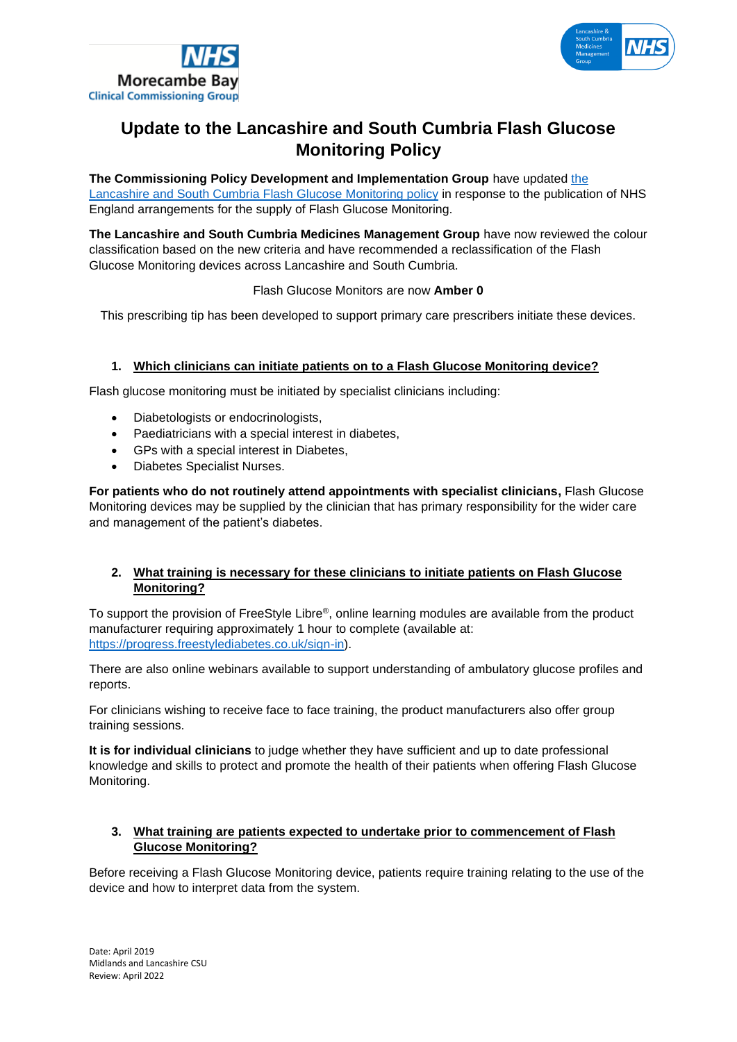



# **Update to the Lancashire and South Cumbria Flash Glucose Monitoring Policy**

**The Commissioning Policy Development and Implementation Group** have updated [the](http://www.lancsmmg.nhs.uk/download/guidelines/Policy-for-Glucose-Monitoring-Devices-V1.1-March-19-amends.pdf)  [Lancashire and South Cumbria Flash Glucose Monitoring policy](http://www.lancsmmg.nhs.uk/download/guidelines/Policy-for-Glucose-Monitoring-Devices-V1.1-March-19-amends.pdf) in response to the publication of NHS England arrangements for the supply of Flash Glucose Monitoring.

**The Lancashire and South Cumbria Medicines Management Group** have now reviewed the colour classification based on the new criteria and have recommended a reclassification of the Flash Glucose Monitoring devices across Lancashire and South Cumbria.

Flash Glucose Monitors are now **Amber 0**

This prescribing tip has been developed to support primary care prescribers initiate these devices.

### **1. Which clinicians can initiate patients on to a Flash Glucose Monitoring device?**

Flash glucose monitoring must be initiated by specialist clinicians including:

- Diabetologists or endocrinologists,
- Paediatricians with a special interest in diabetes,
- GPs with a special interest in Diabetes,
- Diabetes Specialist Nurses.

**For patients who do not routinely attend appointments with specialist clinicians,** Flash Glucose Monitoring devices may be supplied by the clinician that has primary responsibility for the wider care and management of the patient's diabetes.

### **2. What training is necessary for these clinicians to initiate patients on Flash Glucose Monitoring?**

To support the provision of FreeStyle Libre®, online learning modules are available from the product manufacturer requiring approximately 1 hour to complete (available at: [https://progress.freestylediabetes.co.uk/sign-in\)](https://progress.freestylediabetes.co.uk/sign-in).

There are also online webinars available to support understanding of ambulatory glucose profiles and reports.

For clinicians wishing to receive face to face training, the product manufacturers also offer group training sessions.

**It is for individual clinicians** to judge whether they have sufficient and up to date professional knowledge and skills to protect and promote the health of their patients when offering Flash Glucose Monitoring.

# **3. What training are patients expected to undertake prior to commencement of Flash Glucose Monitoring?**

Before receiving a Flash Glucose Monitoring device, patients require training relating to the use of the device and how to interpret data from the system.